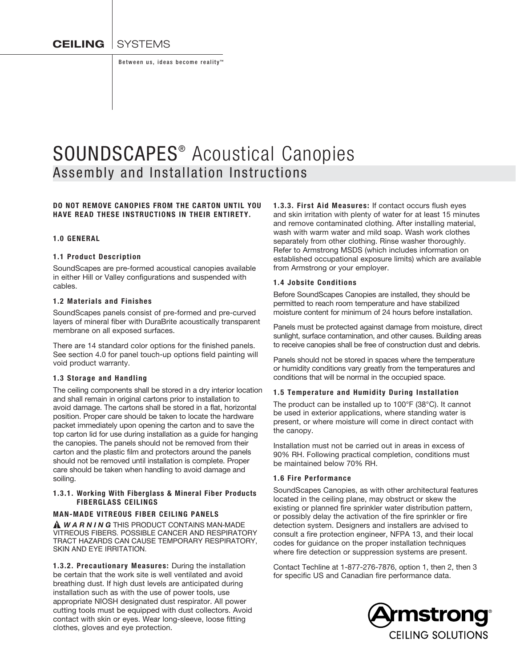**CEILING** SYSTEMS

Between us, ideas become reality<sup>™</sup>

# SOUNDSCAPES<sup>®</sup> Acoustical Canopies Assembly and Installation Instructions

# DO NOT REMOVE CANOPIES FROM THE CARTON UNTIL YOU HAVE READ THESE INSTRUCTIONS IN THEIR ENTIRETY.

#### 1.0 GENERAL

#### 1.1 Product Description

SoundScapes are pre-formed acoustical canopies available in either Hill or Valley configurations and suspended with cables.

#### 1.2 Materials and Finishes

SoundScapes panels consist of pre-formed and pre-curved layers of mineral fiber with DuraBrite acoustically transparent membrane on all exposed surfaces.

There are 14 standard color options for the finished panels. See section 4.0 for panel touch-up options field painting will void product warranty.

#### 1.3 Storage and Handling

The ceiling components shall be stored in a dry interior location and shall remain in original cartons prior to installation to avoid damage. The cartons shall be stored in a flat, horizontal position. Proper care should be taken to locate the hardware packet immediately upon opening the carton and to save the top carton lid for use during installation as a guide for hanging the canopies. The panels should not be removed from their carton and the plastic film and protectors around the panels should not be removed until installation is complete. Proper care should be taken when handling to avoid damage and soiling.

#### 1.3.1. Working With Fiberglass & Mineral Fiber Products FIBERGLASS CEILINGS

### MAN-MADE VITREOUS FIBER CEILING PANELS

 *W A R N I N G* THIS PRODUCT CONTAINS MAN-MADE VITREOUS FIBERS. POSSIBLE CANCER AND RESPIRATORY TRACT HAZARDS CAN CAUSE TEMPORARY RESPIRATORY, SKIN AND EYE IRRITATION.

1.3.2. Precautionary Measures: During the installation be certain that the work site is well ventilated and avoid breathing dust. If high dust levels are anticipated during installation such as with the use of power tools, use appropriate NIOSH designated dust respirator. All power cutting tools must be equipped with dust collectors. Avoid contact with skin or eyes. Wear long-sleeve, loose fitting clothes, gloves and eye protection.

1.3.3. First Aid Measures: If contact occurs flush eyes and skin irritation with plenty of water for at least 15 minutes and remove contaminated clothing. After installing material, wash with warm water and mild soap. Wash work clothes separately from other clothing. Rinse washer thoroughly. Refer to Armstrong MSDS (which includes information on established occupational exposure limits) which are available from Armstrong or your employer.

### 1.4 Jobsite Conditions

Before SoundScapes Canopies are installed, they should be permitted to reach room temperature and have stabilized moisture content for minimum of 24 hours before installation.

Panels must be protected against damage from moisture, direct sunlight, surface contamination, and other causes. Building areas to receive canopies shall be free of construction dust and debris.

Panels should not be stored in spaces where the temperature or humidity conditions vary greatly from the temperatures and conditions that will be normal in the occupied space.

#### 1.5 Temperature and Humidity During Installation

The product can be installed up to 100°F (38°C). It cannot be used in exterior applications, where standing water is present, or where moisture will come in direct contact with the canopy.

Installation must not be carried out in areas in excess of 90% RH. Following practical completion, conditions must be maintained below 70% RH.

#### 1.6 Fire Performance

SoundScapes Canopies, as with other architectural features located in the ceiling plane, may obstruct or skew the existing or planned fire sprinkler water distribution pattern, or possibly delay the activation of the fire sprinkler or fire detection system. Designers and installers are advised to consult a fire protection engineer, NFPA 13, and their local codes for guidance on the proper installation techniques where fire detection or suppression systems are present.

Contact Techline at 1-877-276-7876, option 1, then 2, then 3 for specific US and Canadian fire performance data.

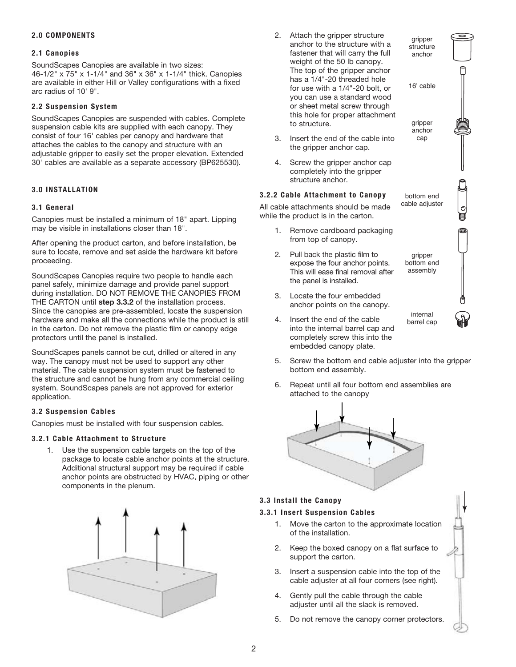# 2.0 COMPONENTS

# 2.1 Canopies

SoundScapes Canopies are available in two sizes: 46-1/2" x 75" x 1-1/4" and 36" x 36" x 1-1/4" thick. Canopies are available in either Hill or Valley configurations with a fixed arc radius of 10' 9".

# 2.2 Suspension System

SoundScapes Canopies are suspended with cables. Complete suspension cable kits are supplied with each canopy. They consist of four 16' cables per canopy and hardware that attaches the cables to the canopy and structure with an adjustable gripper to easily set the proper elevation. Extended 30' cables are available as a separate accessory (BP625530).

# 3.0 INSTALLATION

# 3.1 General

Canopies must be installed a minimum of 18" apart. Lipping may be visible in installations closer than 18".

After opening the product carton, and before installation, be sure to locate, remove and set aside the hardware kit before proceeding.

SoundScapes Canopies require two people to handle each panel safely, minimize damage and provide panel support during installation. DO NOT REMOVE THE CANOPIES FROM THE CARTON until step 3.3.2 of the installation process. Since the canopies are pre-assembled, locate the suspension hardware and make all the connections while the product is still in the carton. Do not remove the plastic film or canopy edge protectors until the panel is installed.

SoundScapes panels cannot be cut, drilled or altered in any way. The canopy must not be used to support any other material. The cable suspension system must be fastened to the structure and cannot be hung from any commercial ceiling system. SoundScapes panels are not approved for exterior application.

# 3.2 Suspension Cables

Canopies must be installed with four suspension cables.

### 3.2.1 Cable Attachment to Structure

1. Use the suspension cable targets on the top of the package to locate cable anchor points at the structure. Additional structural support may be required if cable anchor points are obstructed by HVAC, piping or other components in the plenum.



2. Attach the gripper structure anchor to the structure with a fastener that will carry the full weight of the 50 lb canopy. The top of the gripper anchor has a 1/4"-20 threaded hole for use with a 1/4"-20 bolt, or you can use a standard wood or sheet metal screw through this hole for proper attachment to structure.

gripper structure anchor

16' cable

gripper anchor cap

bottom end cable adjuster

Θ

gripper bottom end assembly

internal barrel cap

- 3. Insert the end of the cable into the gripper anchor cap.
- 4. Screw the gripper anchor cap completely into the gripper structure anchor.

# 3.2.2 Cable Attachment to Canopy

All cable attachments should be made while the product is in the carton.

- 1. Remove cardboard packaging from top of canopy.
- 2. Pull back the plastic film to expose the four anchor points. This will ease final removal after the panel is installed.
- 3. Locate the four embedded anchor points on the canopy.
- 4. Insert the end of the cable into the internal barrel cap and completely screw this into the embedded canopy plate.
- 5. Screw the bottom end cable adjuster into the gripper bottom end assembly.
- 6. Repeat until all four bottom end assemblies are attached to the canopy



# 3.3 Install the Canopy

# 3.3.1 Insert Suspension Cables

- 1. Move the carton to the approximate location of the installation.
- 2. Keep the boxed canopy on a flat surface to support the carton.
- 3. Insert a suspension cable into the top of the **step four** cable adjuster at all four corners (see right).
- 4. Gently pull the cable through the cable adjuster until all the slack is removed.
- 5. Do not remove the canopy corner protectors.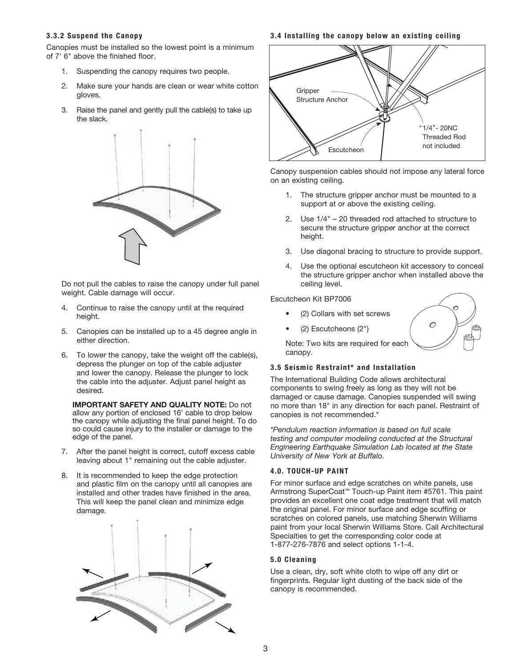#### 3.3.2 Suspend the Canopy

Canopies must be installed so the lowest point is a minimum of 7' 6" above the finished floor.

- 1. Suspending the canopy requires two people.
- 2. Make sure your hands are clean or wear white cotton gloves.
- 3. Raise the panel and gently pull the cable(s) to take up the slack.



 Do not pull the cables to raise the canopy under full panel weight. Cable damage will occur.

- 4. Continue to raise the canopy until at the required height.
- 5. Canopies can be installed up to a 45 degree angle in either direction.
- 6. To lower the canopy, take the weight off the cable(s), depress the plunger on top of the cable adjuster and lower the canopy. Release the plunger to lock the cable into the adjuster. Adjust panel height as desired.

IMPORTANT SAFETY AND QUALITY NOTE: Do not allow any portion of enclosed 16' cable to drop below the canopy while adjusting the final panel height. To do so could cause injury to the installer or damage to the edge of the panel.

- 7. After the panel height is correct, cutoff excess cable leaving about 1" remaining out the cable adjuster.
- 8. It is recommended to keep the edge protection and plastic film on the canopy until all canopies are installed and other trades have finished in the area. This will keep the panel clean and minimize edge damage.



#### 3.4 Installing the canopy below an existing ceiling



Canopy suspension cables should not impose any lateral force on an existing ceiling.

- 1. The structure gripper anchor must be mounted to a support at or above the existing ceiling.
- 2. Use 1/4" 20 threaded rod attached to structure to secure the structure gripper anchor at the correct height.
- 3. Use diagonal bracing to structure to provide support.
- 4. Use the optional escutcheon kit accessory to conceal the structure gripper anchor when installed above the ceiling level.

 $\mathcal{O}$ 

### Escutcheon Kit BP7006

- (2) Collars with set screws
- (2) Escutcheons (2")

 Note: Two kits are required for each canopy.

### 3.5 Seismic Restraint\* and Installation

The International Building Code allows architectural components to swing freely as long as they will not be damaged or cause damage. Canopies suspended will swing no more than 18" in any direction for each panel. Restraint of canopies is not recommended.\*

*\*Pendulum reaction information is based on full scale testing and computer modeling conducted at the Structural Engineering Earthquake Simulation Lab located at the State University of New York at Buffalo.*

### 4.0. Touch-up Paint

For minor surface and edge scratches on white panels, use Armstrong SuperCoat™ Touch-up Paint item #5761. This paint provides an excellent one coat edge treatment that will match the original panel. For minor surface and edge scuffing or scratches on colored panels, use matching Sherwin Williams paint from your local Sherwin Williams Store. Call Architectural Specialties to get the corresponding color code at 1-877-276-7876 and select options 1-1-4.

### 5.0 Cleaning

Use a clean, dry, soft white cloth to wipe off any dirt or fingerprints. Regular light dusting of the back side of the canopy is recommended.